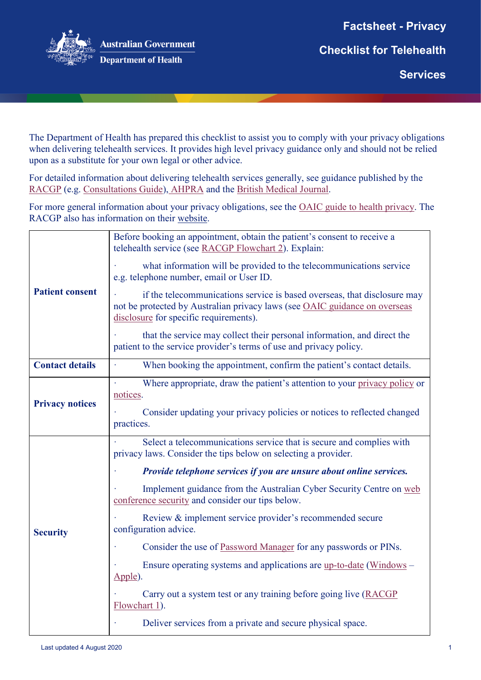**Factsheet - Privacy** 



**Australian Government Department of Health** 

**Checklist for Telehealth** 

**Services** 

**hanges** 

The Department of Health has prepared this checklist to assist you to comply with your privacy obligations when delivering telehealth services. It provides high level privacy guidance only and should not be relied upon as a substitute for your own legal or other advice.

For detailed information about delivering telehealth services generally, see guidance published by the [RACGP](https://www.racgp.org.au/running-a-practice/technology/clinical-technology/telehealth) (e.g. [Consultations Guide\)](https://www.racgp.org.au/FSDEDEV/media/documents/Clinical%20Resources/Guidelines/Guide-to-providing-telephone-and-video-consultations.pdf), [AHPRA](https://www.ahpra.gov.au/News/COVID-19/Workforce-resources/Telehealth-guidance-for-practitioners.aspx) and the [British Medical Journal.](https://www.bmj.com/content/bmj/suppl/2020/03/24/bmj.m1182.DC1/gret055914.fi.pdf)

For more general information about your privacy obligations, see the [OAIC guide to health privacy.](https://www.oaic.gov.au/privacy/guidance-and-advice/guide-to-health-privacy) The RACGP also has information on their website.

| <b>Patient consent</b> | Before booking an appointment, obtain the patient's consent to receive a<br>telehealth service (see RACGP Flowchart 2). Explain:                                                                 |
|------------------------|--------------------------------------------------------------------------------------------------------------------------------------------------------------------------------------------------|
|                        | what information will be provided to the telecommunications service<br>e.g. telephone number, email or User ID.                                                                                  |
|                        | if the telecommunications service is based overseas, that disclosure may<br>not be protected by Australian privacy laws (see OAIC guidance on overseas<br>disclosure for specific requirements). |
|                        | that the service may collect their personal information, and direct the<br>patient to the service provider's terms of use and privacy policy.                                                    |
| <b>Contact details</b> | When booking the appointment, confirm the patient's contact details.                                                                                                                             |
| <b>Privacy notices</b> | Where appropriate, draw the patient's attention to your privacy policy or<br>notices.                                                                                                            |
|                        | Consider updating your privacy policies or notices to reflected changed<br>practices.                                                                                                            |
| <b>Security</b>        | Select a telecommunications service that is secure and complies with<br>privacy laws. Consider the tips below on selecting a provider.                                                           |
|                        | Provide telephone services if you are unsure about online services.                                                                                                                              |
|                        | Implement guidance from the Australian Cyber Security Centre on web<br>conference security and consider our tips below.                                                                          |
|                        | Review & implement service provider's recommended secure<br>configuration advice.                                                                                                                |
|                        | Consider the use of Password Manager for any passwords or PINs.                                                                                                                                  |
|                        | Ensure operating systems and applications are <u>up-to-date</u> (Windows –<br>Apple).                                                                                                            |
|                        | Carry out a system test or any training before going live (RACGP)<br>Flowchart 1).                                                                                                               |
|                        | Deliver services from a private and secure physical space.                                                                                                                                       |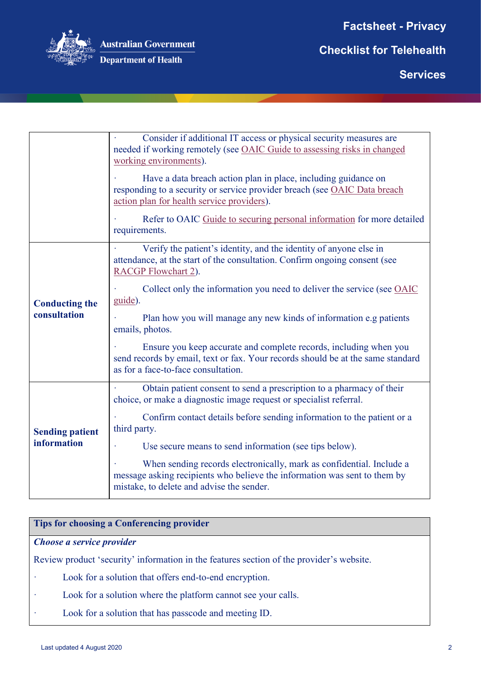**Factsheet - Privacy** 



**Australian Government** 

**Department of Health** 

**Checklist for Telehealth** 

**Services** 

**hanges** 

|                                              | Consider if additional IT access or physical security measures are<br>needed if working remotely (see OAIC Guide to assessing risks in changed<br>working environments).                       |
|----------------------------------------------|------------------------------------------------------------------------------------------------------------------------------------------------------------------------------------------------|
|                                              | Have a data breach action plan in place, including guidance on<br>responding to a security or service provider breach (see OAIC Data breach<br>action plan for health service providers).      |
|                                              | Refer to OAIC Guide to securing personal information for more detailed<br>requirements.                                                                                                        |
| <b>Conducting the</b><br>consultation        | Verify the patient's identity, and the identity of anyone else in<br>attendance, at the start of the consultation. Confirm ongoing consent (see<br>RACGP Flowchart 2).                         |
|                                              | Collect only the information you need to deliver the service (see OAIC<br>guide).                                                                                                              |
|                                              | Plan how you will manage any new kinds of information e.g patients<br>emails, photos.                                                                                                          |
|                                              | Ensure you keep accurate and complete records, including when you<br>send records by email, text or fax. Your records should be at the same standard<br>as for a face-to-face consultation.    |
| <b>Sending patient</b><br><b>information</b> | Obtain patient consent to send a prescription to a pharmacy of their<br>choice, or make a diagnostic image request or specialist referral.                                                     |
|                                              | Confirm contact details before sending information to the patient or a<br>third party.                                                                                                         |
|                                              | Use secure means to send information (see tips below).                                                                                                                                         |
|                                              | When sending records electronically, mark as confidential. Include a<br>message asking recipients who believe the information was sent to them by<br>mistake, to delete and advise the sender. |

### **Tips for choosing a Conferencing provider**

#### *Choose a service provider*

Review product 'security' information in the features section of the provider's website.

- · Look for a solution that offers end-to-end encryption.
- · Look for a solution where the platform cannot see your calls.
- Look for a solution that has passcode and meeting ID.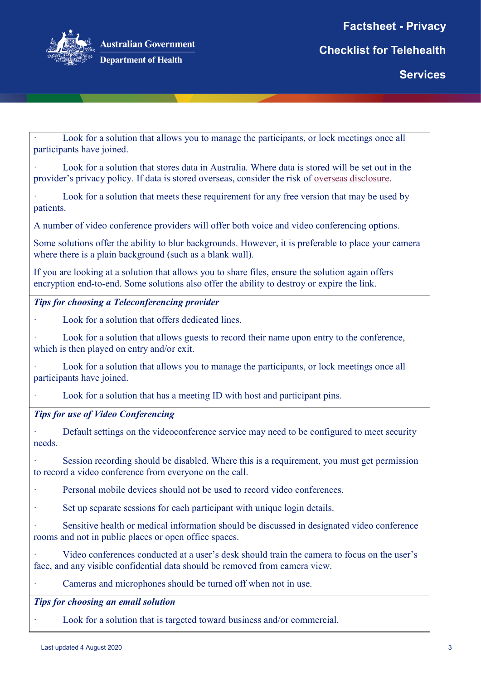

**hanges** 

Look for a solution that allows you to manage the participants, or lock meetings once all participants have joined.

Look for a solution that stores data in Australia. Where data is stored will be set out in the provider's privacy policy. If data is stored overseas, consider the risk of [overseas disclosure.](https://www.oaic.gov.au/privacy/australian-privacy-principles-guidelines/chapter-8-app-8-cross-border-disclosure-of-personal-information/)

Look for a solution that meets these requirement for any free version that may be used by patients.

A number of video conference providers will offer both voice and video conferencing options.

Some solutions offer the ability to blur backgrounds. However, it is preferable to place your camera where there is a plain background (such as a blank wall).

If you are looking at a solution that allows you to share files, ensure the solution again offers encryption end-to-end. Some solutions also offer the ability to destroy or expire the link.

### *Tips for choosing a Teleconferencing provider*

Look for a solution that offers dedicated lines.

Look for a solution that allows guests to record their name upon entry to the conference, which is then played on entry and/or exit.

Look for a solution that allows you to manage the participants, or lock meetings once all participants have joined.

Look for a solution that has a meeting ID with host and participant pins.

# *Tips for use of Video Conferencing*

· Default settings on the videoconference service may need to be configured to meet security needs.

Session recording should be disabled. Where this is a requirement, you must get permission to record a video conference from everyone on the call.

Personal mobile devices should not be used to record video conferences.

Set up separate sessions for each participant with unique login details.

Sensitive health or medical information should be discussed in designated video conference rooms and not in public places or open office spaces.

Video conferences conducted at a user's desk should train the camera to focus on the user's face, and any visible confidential data should be removed from camera view.

Cameras and microphones should be turned off when not in use.

*Tips for choosing an email solution*

Look for a solution that is targeted toward business and/or commercial.